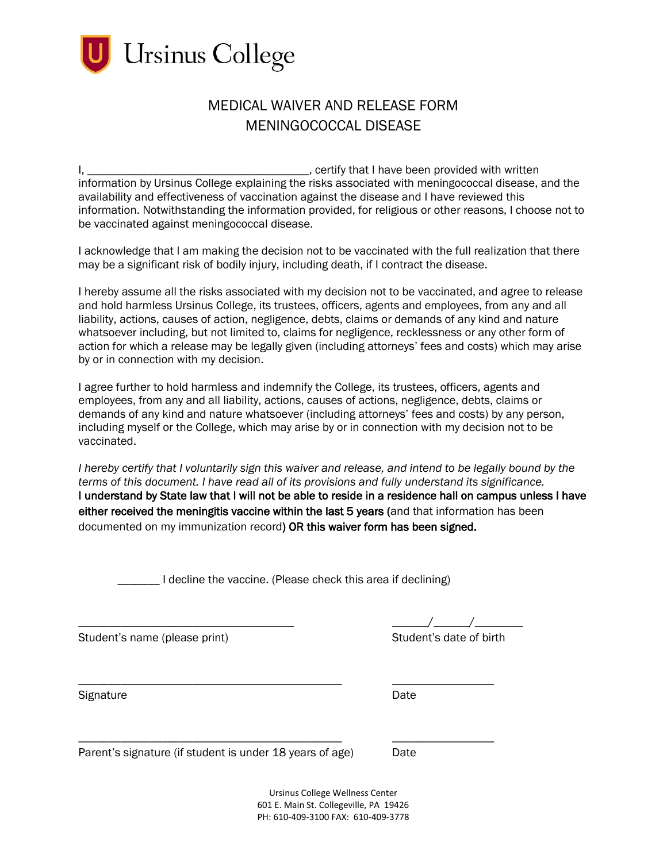

## MEDICAL WAIVER AND RELEASE FORM MENINGOCOCCAL DISEASE

be vaccinated against meningococcal disease. I, certify that I have been provided with written information by Ursinus College explaining the risks associated with meningococcal disease, and the availability and effectiveness of vaccination against the disease and I have reviewed this information. Notwithstanding the information provided, for religious or other reasons, I choose not to

I acknowledge that I am making the decision not to be vaccinated with the full realization that there may be a significant risk of bodily injury, including death, if I contract the disease.

 and hold harmless Ursinus College, its trustees, officers, agents and employees, from any and all liability, actions, causes of action, negligence, debts, claims or demands of any kind and nature I hereby assume all the risks associated with my decision not to be vaccinated, and agree to release whatsoever including, but not limited to, claims for negligence, recklessness or any other form of action for which a release may be legally given (including attorneys' fees and costs) which may arise by or in connection with my decision.

 demands of any kind and nature whatsoever (including attorneys' fees and costs) by any person, vaccinated. I agree further to hold harmless and indemnify the College, its trustees, officers, agents and employees, from any and all liability, actions, causes of actions, negligence, debts, claims or including myself or the College, which may arise by or in connection with my decision not to be

documented on my immunization record) OR this waiver form has been signed. *I* hereby certify that *I* voluntarily sign this waiver and release, and intend to be legally bound by the *terms of this document. I have read all of its provisions and fully understand its significance.*  I understand by State law that I will not be able to reside in a residence hall on campus unless I have either received the meningitis vaccine within the last 5 years (and that information has been

**LECTER I** decline the vaccine. (Please check this area if declining)

\_\_\_\_\_\_\_\_\_\_\_\_\_\_\_\_\_\_\_\_\_\_\_\_\_\_\_\_\_\_\_\_\_\_\_\_\_\_\_\_\_\_\_\_ \_\_\_\_\_\_\_\_\_\_\_\_\_\_\_\_\_

\_\_\_\_\_\_\_\_\_\_\_\_\_\_\_\_\_\_\_\_\_\_\_\_\_\_\_\_\_\_\_\_\_\_\_\_\_\_\_\_\_\_\_\_ \_\_\_\_\_\_\_\_\_\_\_\_\_\_\_\_\_

Student's name (please print) Student's date of birth

Signature **Date** 

Parent's signature (if student is under 18 years of age) Date

Ursinus College Wellness Center 601 E. Main St. Collegeville, PA 19426 PH: 610-409-3100 FAX: 610-409-3778